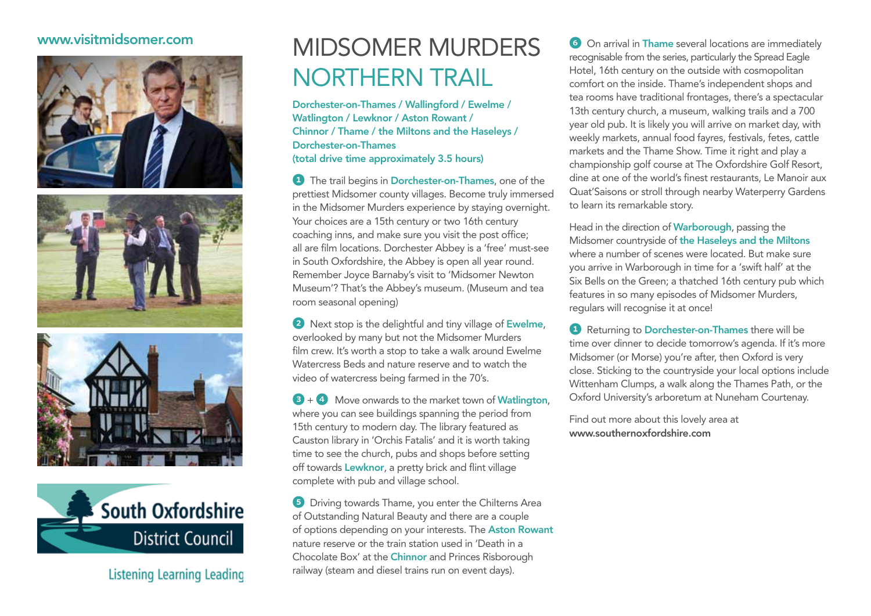## www.visitmidsomer.com









Listening Learning Leading

## Midsomer Murders Northern trail

Dorchester-on-Thames / Wallingford / Ewelme / Watlington / Lewknor / Aston Rowant / Chinnor / Thame / the Miltons and the Haseleys / Dorchester-on-Thames (total drive time approximately 3.5 hours)

**1** The trail begins in **Dorchester-on-Thames**, one of the prettiest Midsomer county villages. Become truly immersed in the Midsomer Murders experience by staying overnight. Your choices are a 15th century or two 16th century coaching inns, and make sure you visit the post office; all are film locations. Dorchester Abbey is a 'free' must-see in South Oxfordshire, the Abbey is open all year round. Remember Joyce Barnaby's visit to 'Midsomer Newton Museum'? That's the Abbey's museum. (Museum and tea room seasonal opening)

2 Next stop is the delightful and tiny village of Ewelme, overlooked by many but not the Midsomer Murders film crew. It's worth a stop to take a walk around Ewelme Watercress Beds and nature reserve and to watch the video of watercress being farmed in the 70's.

 $3 + 4$  Move onwards to the market town of Watlington, where you can see buildings spanning the period from 15th century to modern day. The library featured as Causton library in 'Orchis Fatalis' and it is worth taking time to see the church, pubs and shops before setting off towards Lewknor, a pretty brick and flint village complete with pub and village school.

**5** Driving towards Thame, you enter the Chilterns Area of Outstanding Natural Beauty and there are a couple of options depending on your interests. The Aston Rowant nature reserve or the train station used in 'Death in a Chocolate Box' at the Chinnor and Princes Risborough railway (steam and diesel trains run on event days).

**6** On arrival in Thame several locations are immediately recognisable from the series, particularly the Spread Eagle Hotel, 16th century on the outside with cosmopolitan comfort on the inside. Thame's independent shops and tea rooms have traditional frontages, there's a spectacular 13th century church, a museum, walking trails and a 700 year old pub. It is likely you will arrive on market day, with weekly markets, annual food fayres, festivals, fetes, cattle markets and the Thame Show. Time it right and play a championship golf course at The Oxfordshire Golf Resort, dine at one of the world's finest restaurants, Le Manoir aux Quat'Saisons or stroll through nearby Waterperry Gardens to learn its remarkable story.

Head in the direction of Warborough, passing the Midsomer countryside of the Haseleys and the Miltons where a number of scenes were located. But make sure you arrive in Warborough in time for a 'swift half' at the Six Bells on the Green; a thatched 16th century pub which features in so many episodes of Midsomer Murders, regulars will recognise it at once!

**1** Returning to Dorchester-on-Thames there will be time over dinner to decide tomorrow's agenda. If it's more Midsomer (or Morse) you're after, then Oxford is very close. Sticking to the countryside your local options include Wittenham Clumps, a walk along the Thames Path, or the Oxford University's arboretum at Nuneham Courtenay.

Find out more about this lovely area at www.southernoxfordshire.com